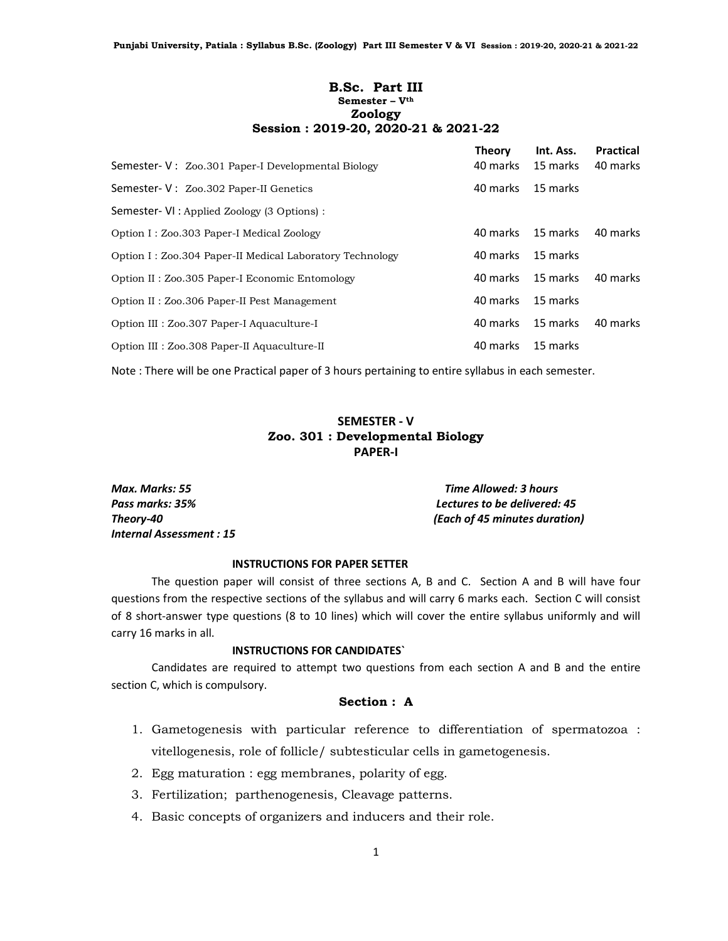## B.Sc. Part III Semester – V<sup>th</sup> Zoology Session : 2019-20, 2020-21 & 2021-22

| Semester- V: Zoo.301 Paper-I Developmental Biology       | <b>Theory</b><br>40 marks | Int. Ass.<br>15 marks | <b>Practical</b><br>40 marks |
|----------------------------------------------------------|---------------------------|-----------------------|------------------------------|
| Semester- V: Zoo.302 Paper-II Genetics                   | 40 marks                  | 15 marks              |                              |
| Semester- VI : Applied Zoology (3 Options) :             |                           |                       |                              |
| Option I: Zoo.303 Paper-I Medical Zoology                | 40 marks                  | 15 marks              | 40 marks                     |
| Option I: Zoo.304 Paper-II Medical Laboratory Technology | 40 marks                  | 15 marks              |                              |
| Option II: Zoo.305 Paper-I Economic Entomology           | 40 marks                  | 15 marks              | 40 marks                     |
| Option II: Zoo.306 Paper-II Pest Management              | 40 marks                  | 15 marks              |                              |
| Option III : Zoo.307 Paper-I Aquaculture-I               | 40 marks                  | 15 marks              | 40 marks                     |
| Option III : Zoo.308 Paper-II Aquaculture-II             | 40 marks                  | 15 marks              |                              |

Note : There will be one Practical paper of 3 hours pertaining to entire syllabus in each semester.

## SEMESTER - V Zoo. 301 : Developmental Biology PAPER-I

Max. Marks: 55 Time Allowed: 3 hours Pass marks: 35% Lectures to be delivered: 45 Theory-40 (Each of 45 minutes duration) Internal Assessment : 15

#### INSTRUCTIONS FOR PAPER SETTER

 The question paper will consist of three sections A, B and C. Section A and B will have four questions from the respective sections of the syllabus and will carry 6 marks each. Section C will consist of 8 short-answer type questions (8 to 10 lines) which will cover the entire syllabus uniformly and will carry 16 marks in all.

## INSTRUCTIONS FOR CANDIDATES`

 Candidates are required to attempt two questions from each section A and B and the entire section C, which is compulsory.

#### Section : A

- 1. Gametogenesis with particular reference to differentiation of spermatozoa : vitellogenesis, role of follicle/ subtesticular cells in gametogenesis.
- 2. Egg maturation : egg membranes, polarity of egg.
- 3. Fertilization; parthenogenesis, Cleavage patterns.
- 4. Basic concepts of organizers and inducers and their role.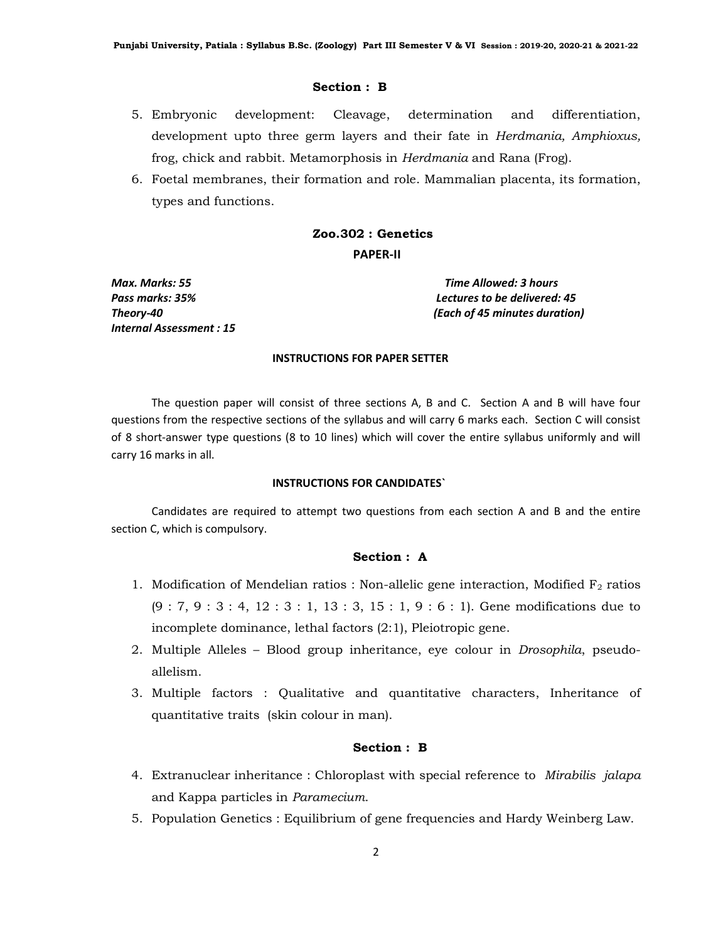- 5. Embryonic development: Cleavage, determination and differentiation, development upto three germ layers and their fate in Herdmania, Amphioxus, frog, chick and rabbit. Metamorphosis in Herdmania and Rana (Frog).
- 6. Foetal membranes, their formation and role. Mammalian placenta, its formation, types and functions.

## Zoo.302 : Genetics PAPER-II

Internal Assessment : 15

Max. Marks: 55 Time Allowed: 3 hours Pass marks: 35% Lectures to be delivered: 45 Theory-40 (Each of 45 minutes duration)

#### INSTRUCTIONS FOR PAPER SETTER

 The question paper will consist of three sections A, B and C. Section A and B will have four questions from the respective sections of the syllabus and will carry 6 marks each. Section C will consist of 8 short-answer type questions (8 to 10 lines) which will cover the entire syllabus uniformly and will carry 16 marks in all.

#### INSTRUCTIONS FOR CANDIDATES`

 Candidates are required to attempt two questions from each section A and B and the entire section C, which is compulsory.

## Section : A

- 1. Modification of Mendelian ratios : Non-allelic gene interaction, Modified  $F_2$  ratios (9 : 7, 9 : 3 : 4, 12 : 3 : 1, 13 : 3, 15 : 1, 9 : 6 : 1). Gene modifications due to incomplete dominance, lethal factors (2:1), Pleiotropic gene.
- 2. Multiple Alleles Blood group inheritance, eye colour in Drosophila, pseudoallelism.
- 3. Multiple factors : Qualitative and quantitative characters, Inheritance of quantitative traits (skin colour in man).

#### Section : B

- 4. Extranuclear inheritance : Chloroplast with special reference to Mirabilis jalapa and Kappa particles in Paramecium.
- 5. Population Genetics : Equilibrium of gene frequencies and Hardy Weinberg Law.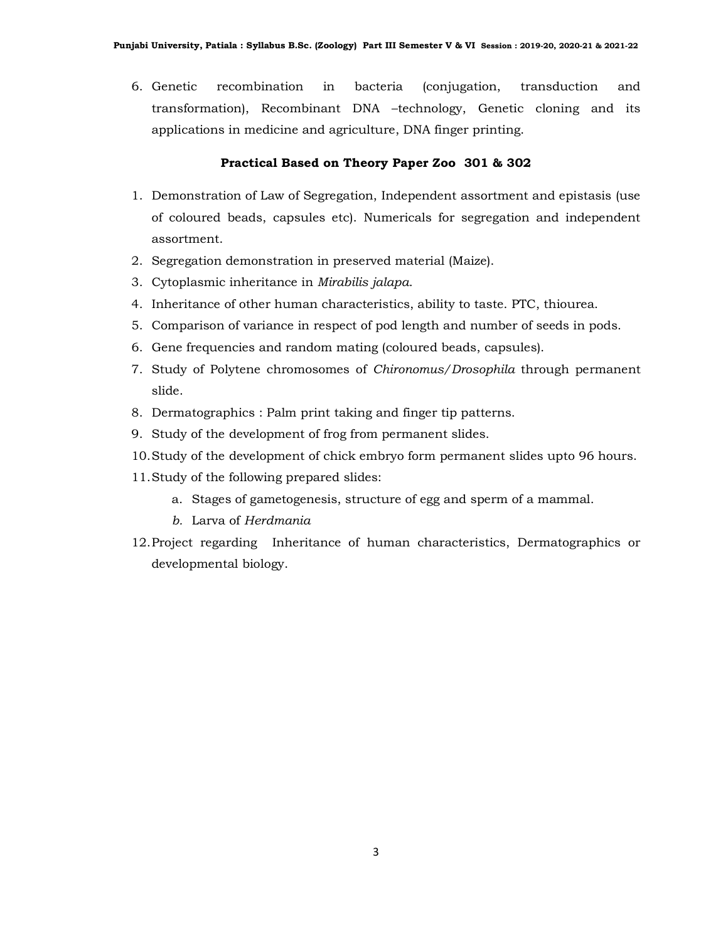6. Genetic recombination in bacteria (conjugation, transduction and transformation), Recombinant DNA –technology, Genetic cloning and its applications in medicine and agriculture, DNA finger printing.

#### Practical Based on Theory Paper Zoo 301 & 302

- 1. Demonstration of Law of Segregation, Independent assortment and epistasis (use of coloured beads, capsules etc). Numericals for segregation and independent assortment.
- 2. Segregation demonstration in preserved material (Maize).
- 3. Cytoplasmic inheritance in Mirabilis jalapa.
- 4. Inheritance of other human characteristics, ability to taste. PTC, thiourea.
- 5. Comparison of variance in respect of pod length and number of seeds in pods.
- 6. Gene frequencies and random mating (coloured beads, capsules).
- 7. Study of Polytene chromosomes of Chironomus/Drosophila through permanent slide.
- 8. Dermatographics : Palm print taking and finger tip patterns.
- 9. Study of the development of frog from permanent slides.
- 10.Study of the development of chick embryo form permanent slides upto 96 hours.
- 11.Study of the following prepared slides:
	- a. Stages of gametogenesis, structure of egg and sperm of a mammal.
	- b. Larva of Herdmania
- 12.Project regarding Inheritance of human characteristics, Dermatographics or developmental biology.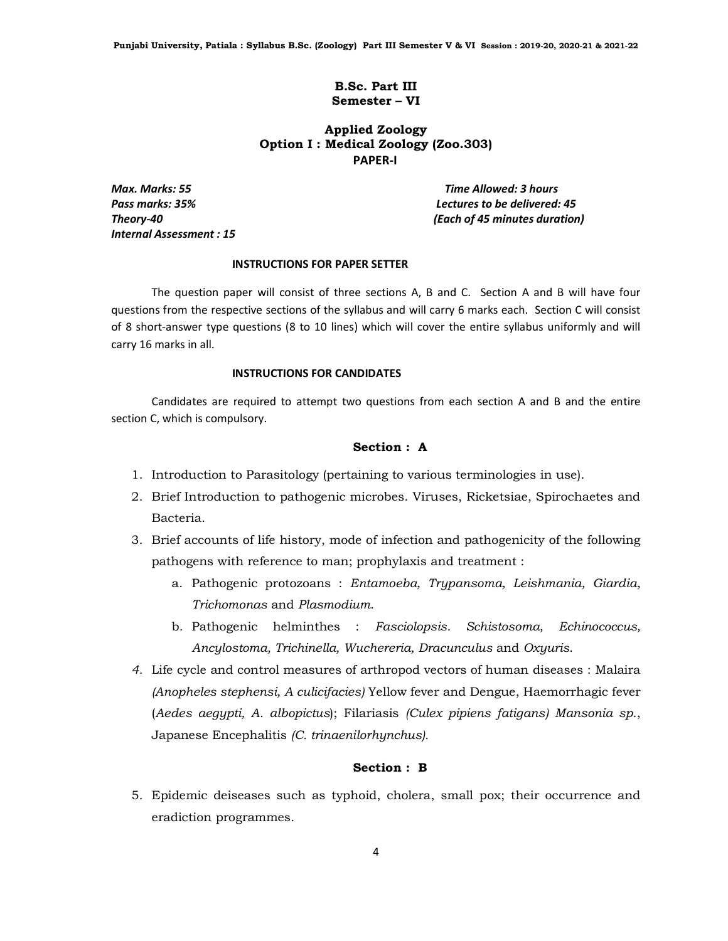Punjabi University, Patiala : Syllabus B.Sc. (Zoology) Part III Semester V & VI Session : 2019-20, 2020-21 & 2021-22

#### B.Sc. Part III Semester – VI

## Applied Zoology Option I : Medical Zoology (Zoo.303) PAPER-I

Internal Assessment : 15

Max. Marks: 55 Time Allowed: 3 hours Pass marks: 35% Lectures to be delivered: 45 Theory-40 (Each of 45 minutes duration)

#### INSTRUCTIONS FOR PAPER SETTER

 The question paper will consist of three sections A, B and C. Section A and B will have four questions from the respective sections of the syllabus and will carry 6 marks each. Section C will consist of 8 short-answer type questions (8 to 10 lines) which will cover the entire syllabus uniformly and will carry 16 marks in all.

#### INSTRUCTIONS FOR CANDIDATES

 Candidates are required to attempt two questions from each section A and B and the entire section C, which is compulsory.

#### Section : A

- 1. Introduction to Parasitology (pertaining to various terminologies in use).
- 2. Brief Introduction to pathogenic microbes. Viruses, Ricketsiae, Spirochaetes and Bacteria.
- 3. Brief accounts of life history, mode of infection and pathogenicity of the following pathogens with reference to man; prophylaxis and treatment :
	- a. Pathogenic protozoans : Entamoeba, Trypansoma, Leishmania, Giardia, Trichomonas and Plasmodium.
	- b. Pathogenic helminthes : Fasciolopsis. Schistosoma, Echinococcus, Ancylostoma, Trichinella, Wuchereria, Dracunculus and Oxyuris.
- 4. Life cycle and control measures of arthropod vectors of human diseases : Malaira (Anopheles stephensi, A culicifacies) Yellow fever and Dengue, Haemorrhagic fever (Aedes aegypti, A. albopictus); Filariasis (Culex pipiens fatigans) Mansonia sp., Japanese Encephalitis (C. trinaenilorhynchus).

## Section : B

5. Epidemic deiseases such as typhoid, cholera, small pox; their occurrence and eradiction programmes.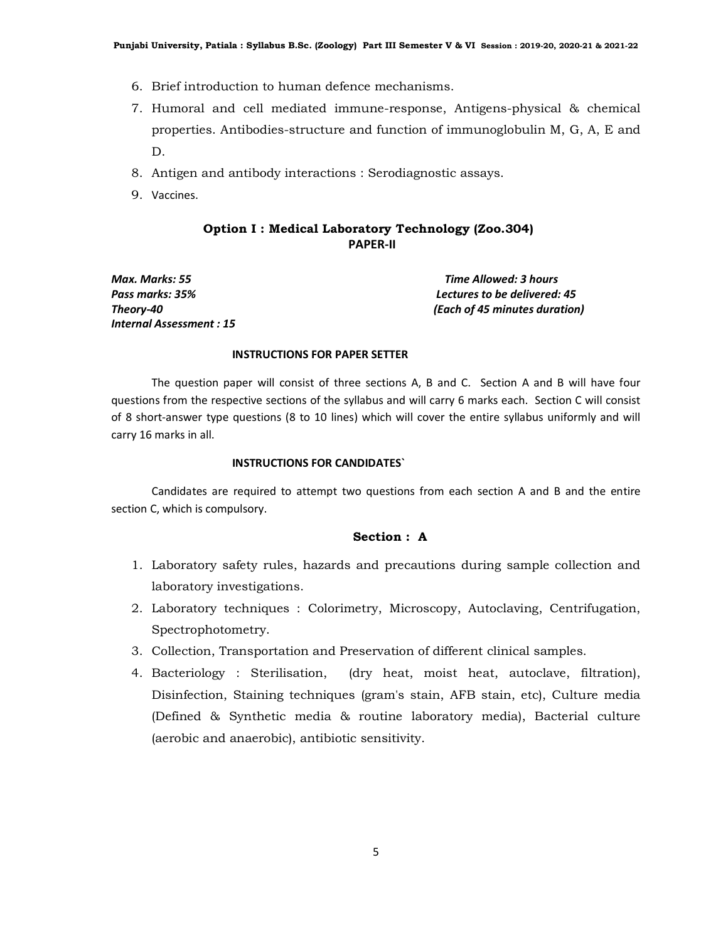- 6. Brief introduction to human defence mechanisms.
- 7. Humoral and cell mediated immune-response, Antigens-physical & chemical properties. Antibodies-structure and function of immunoglobulin M, G, A, E and D.
- 8. Antigen and antibody interactions : Serodiagnostic assays.
- 9. Vaccines.

## Option I : Medical Laboratory Technology (Zoo.304) PAPER-II

Max. Marks: 55 Time Allowed: 3 hours Internal Assessment : 15

Pass marks: 35% Lectures to be delivered: 45 Theory-40 (Each of 45 minutes duration)

#### INSTRUCTIONS FOR PAPER SETTER

 The question paper will consist of three sections A, B and C. Section A and B will have four questions from the respective sections of the syllabus and will carry 6 marks each. Section C will consist of 8 short-answer type questions (8 to 10 lines) which will cover the entire syllabus uniformly and will carry 16 marks in all.

#### INSTRUCTIONS FOR CANDIDATES`

 Candidates are required to attempt two questions from each section A and B and the entire section C, which is compulsory.

## Section : A

- 1. Laboratory safety rules, hazards and precautions during sample collection and laboratory investigations.
- 2. Laboratory techniques : Colorimetry, Microscopy, Autoclaving, Centrifugation, Spectrophotometry.
- 3. Collection, Transportation and Preservation of different clinical samples.
- 4. Bacteriology : Sterilisation, (dry heat, moist heat, autoclave, filtration), Disinfection, Staining techniques (gram's stain, AFB stain, etc), Culture media (Defined & Synthetic media & routine laboratory media), Bacterial culture (aerobic and anaerobic), antibiotic sensitivity.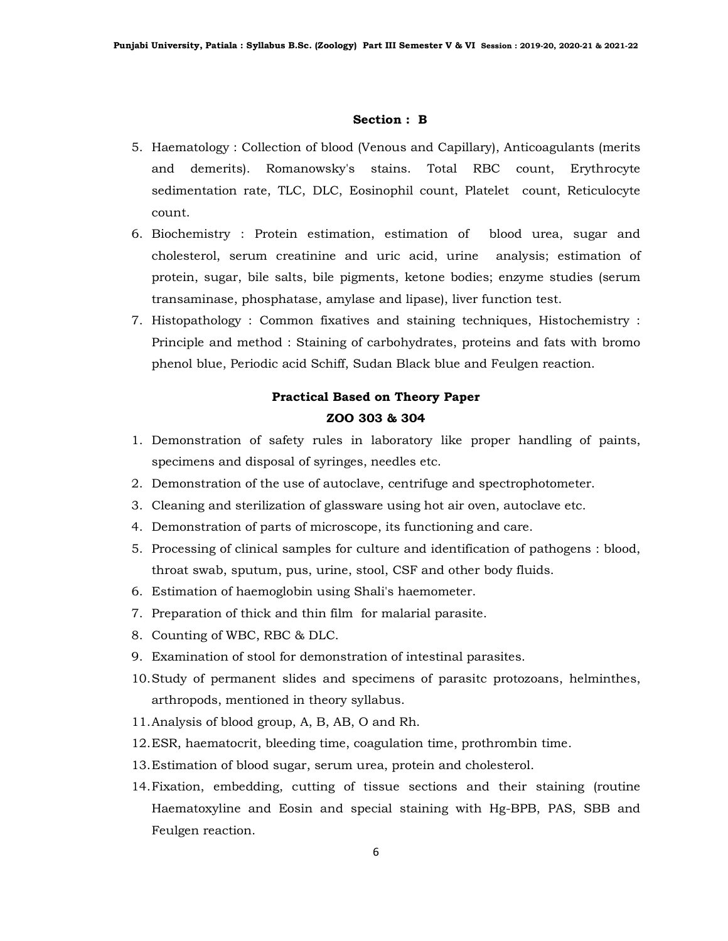- 5. Haematology : Collection of blood (Venous and Capillary), Anticoagulants (merits and demerits). Romanowsky's stains. Total RBC count, Erythrocyte sedimentation rate, TLC, DLC, Eosinophil count, Platelet count, Reticulocyte count.
- 6. Biochemistry : Protein estimation, estimation of blood urea, sugar and cholesterol, serum creatinine and uric acid, urine analysis; estimation of protein, sugar, bile salts, bile pigments, ketone bodies; enzyme studies (serum transaminase, phosphatase, amylase and lipase), liver function test.
- 7. Histopathology : Common fixatives and staining techniques, Histochemistry : Principle and method : Staining of carbohydrates, proteins and fats with bromo phenol blue, Periodic acid Schiff, Sudan Black blue and Feulgen reaction.

# Practical Based on Theory Paper ZOO 303 & 304

- 1. Demonstration of safety rules in laboratory like proper handling of paints, specimens and disposal of syringes, needles etc.
- 2. Demonstration of the use of autoclave, centrifuge and spectrophotometer.
- 3. Cleaning and sterilization of glassware using hot air oven, autoclave etc.
- 4. Demonstration of parts of microscope, its functioning and care.
- 5. Processing of clinical samples for culture and identification of pathogens : blood, throat swab, sputum, pus, urine, stool, CSF and other body fluids.
- 6. Estimation of haemoglobin using Shali's haemometer.
- 7. Preparation of thick and thin film for malarial parasite.
- 8. Counting of WBC, RBC & DLC.
- 9. Examination of stool for demonstration of intestinal parasites.
- 10.Study of permanent slides and specimens of parasitc protozoans, helminthes, arthropods, mentioned in theory syllabus.
- 11.Analysis of blood group, A, B, AB, O and Rh.
- 12.ESR, haematocrit, bleeding time, coagulation time, prothrombin time.
- 13.Estimation of blood sugar, serum urea, protein and cholesterol.
- 14.Fixation, embedding, cutting of tissue sections and their staining (routine Haematoxyline and Eosin and special staining with Hg-BPB, PAS, SBB and Feulgen reaction.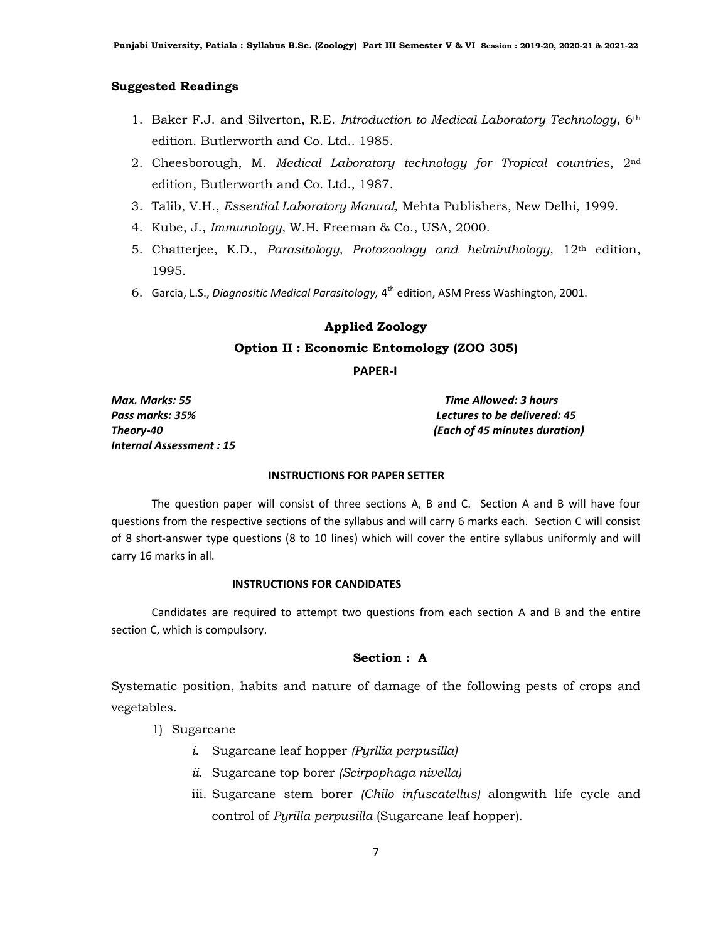#### Suggested Readings

- 1. Baker F.J. and Silverton, R.E. Introduction to Medical Laboratory Technology, 6th edition. Butlerworth and Co. Ltd.. 1985.
- 2. Cheesborough, M. Medical Laboratory technology for Tropical countries, 2nd edition, Butlerworth and Co. Ltd., 1987.
- 3. Talib, V.H., Essential Laboratory Manual, Mehta Publishers, New Delhi, 1999.
- 4. Kube, J., Immunology, W.H. Freeman & Co., USA, 2000.
- 5. Chatterjee, K.D., Parasitology, Protozoology and helminthology,  $12<sup>th</sup>$  edition, 1995.
- 6. Garcia, L.S., Diagnositic Medical Parasitology,  $4^{th}$  edition, ASM Press Washington, 2001.

#### Applied Zoology

#### Option II : Economic Entomology (ZOO 305)

PAPER-I

Max. Marks: 55 Time Allowed: 3 hours Internal Assessment : 15

Pass marks: 35% Lectures to be delivered: 45 Theory-40 (Each of 45 minutes duration)

#### INSTRUCTIONS FOR PAPER SETTER

 The question paper will consist of three sections A, B and C. Section A and B will have four questions from the respective sections of the syllabus and will carry 6 marks each. Section C will consist of 8 short-answer type questions (8 to 10 lines) which will cover the entire syllabus uniformly and will carry 16 marks in all.

#### INSTRUCTIONS FOR CANDIDATES

 Candidates are required to attempt two questions from each section A and B and the entire section C, which is compulsory.

## Section : A

Systematic position, habits and nature of damage of the following pests of crops and vegetables.

#### 1) Sugarcane

- i. Sugarcane leaf hopper (Pyrllia perpusilla)
- ii. Sugarcane top borer (Scirpophaga nivella)
- iii. Sugarcane stem borer (Chilo infuscatellus) alongwith life cycle and control of Pyrilla perpusilla (Sugarcane leaf hopper).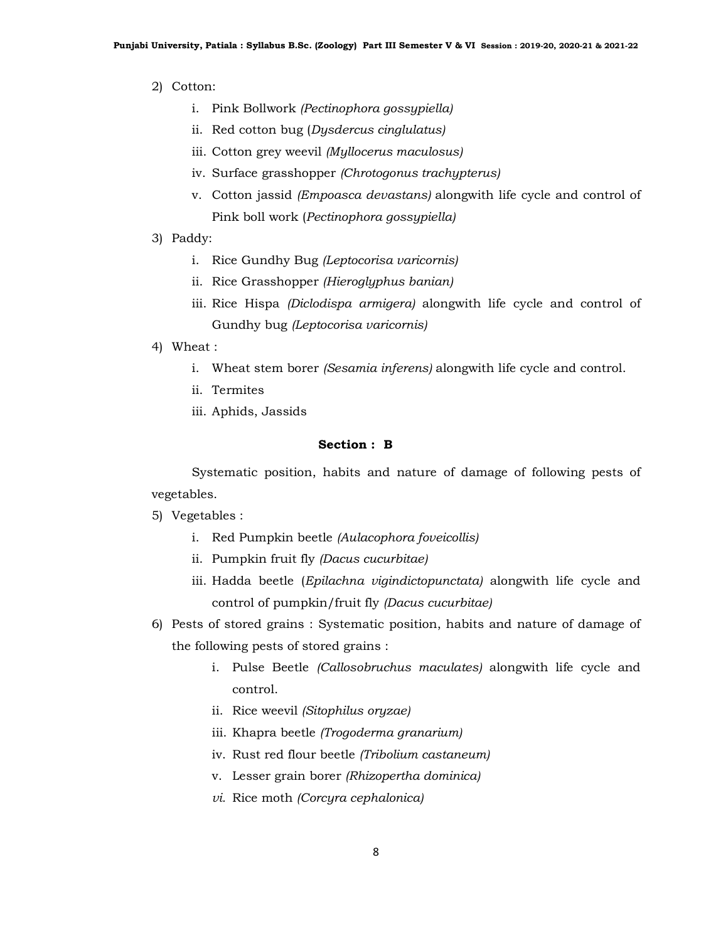- 2) Cotton:
	- i. Pink Bollwork (Pectinophora gossypiella)
	- ii. Red cotton bug (Dysdercus cinglulatus)
	- iii. Cotton grey weevil (Myllocerus maculosus)
	- iv. Surface grasshopper (Chrotogonus trachypterus)
	- v. Cotton jassid (Empoasca devastans) alongwith life cycle and control of Pink boll work (Pectinophora gossypiella)
- 3) Paddy:
	- i. Rice Gundhy Bug (Leptocorisa varicornis)
	- ii. Rice Grasshopper (Hieroglyphus banian)
	- iii. Rice Hispa (Diclodispa armigera) alongwith life cycle and control of Gundhy bug (Leptocorisa varicornis)
- 4) Wheat :
	- i. Wheat stem borer (Sesamia inferens) alongwith life cycle and control.
	- ii. Termites
	- iii. Aphids, Jassids

 Systematic position, habits and nature of damage of following pests of vegetables.

- 5) Vegetables :
	- i. Red Pumpkin beetle (Aulacophora foveicollis)
	- ii. Pumpkin fruit fly (Dacus cucurbitae)
	- iii. Hadda beetle (Epilachna vigindictopunctata) alongwith life cycle and control of pumpkin/fruit fly (Dacus cucurbitae)
- 6) Pests of stored grains : Systematic position, habits and nature of damage of the following pests of stored grains :
	- i. Pulse Beetle (Callosobruchus maculates) alongwith life cycle and control.
	- ii. Rice weevil (Sitophilus oryzae)
	- iii. Khapra beetle (Trogoderma granarium)
	- iv. Rust red flour beetle (Tribolium castaneum)
	- v. Lesser grain borer (Rhizopertha dominica)
	- vi. Rice moth (Corcyra cephalonica)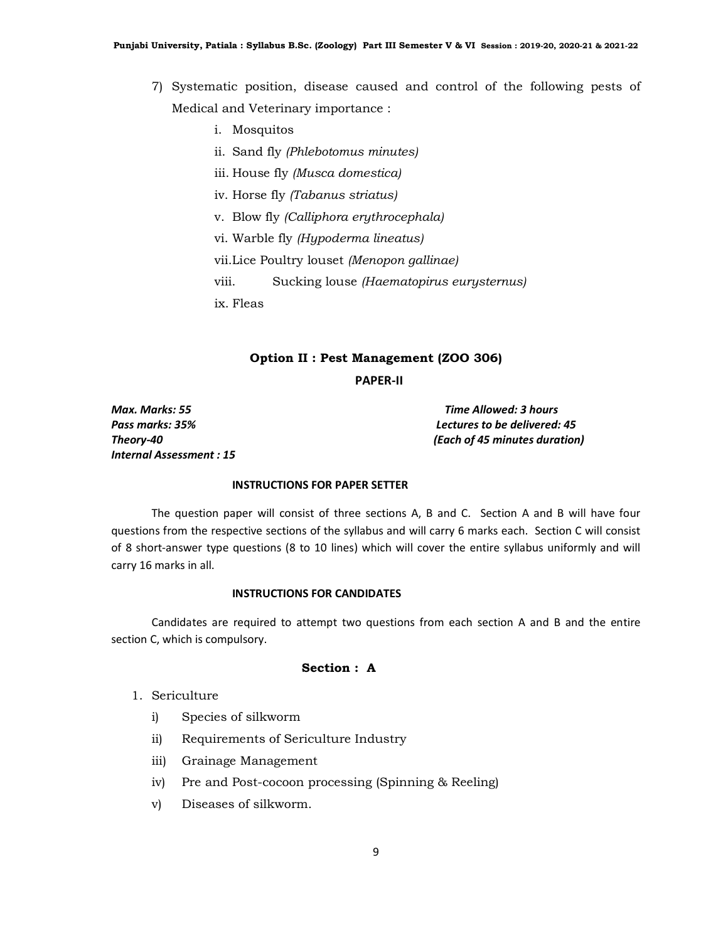- 7) Systematic position, disease caused and control of the following pests of Medical and Veterinary importance :
	- i. Mosquitos
	- ii. Sand fly (Phlebotomus minutes)
	- iii. House fly (Musca domestica)
	- iv. Horse fly (Tabanus striatus)
	- v. Blow fly (Calliphora erythrocephala)
	- vi. Warble fly (Hypoderma lineatus)

vii.Lice Poultry louset (Menopon gallinae)

viii. Sucking louse (Haematopirus eurysternus)

ix. Fleas

#### Option II : Pest Management (ZOO 306)

```
 PAPER-II
```
Max. Marks: 55 Time Allowed: 3 hours Internal Assessment : 15

Pass marks: 35% Lectures to be delivered: 45 Theory-40 (Each of 45 minutes duration)

## INSTRUCTIONS FOR PAPER SETTER

 The question paper will consist of three sections A, B and C. Section A and B will have four questions from the respective sections of the syllabus and will carry 6 marks each. Section C will consist of 8 short-answer type questions (8 to 10 lines) which will cover the entire syllabus uniformly and will carry 16 marks in all.

#### INSTRUCTIONS FOR CANDIDATES

 Candidates are required to attempt two questions from each section A and B and the entire section C, which is compulsory.

#### Section : A

- 1. Sericulture
	- i) Species of silkworm
	- ii) Requirements of Sericulture Industry
	- iii) Grainage Management
	- iv) Pre and Post-cocoon processing (Spinning & Reeling)
	- v) Diseases of silkworm.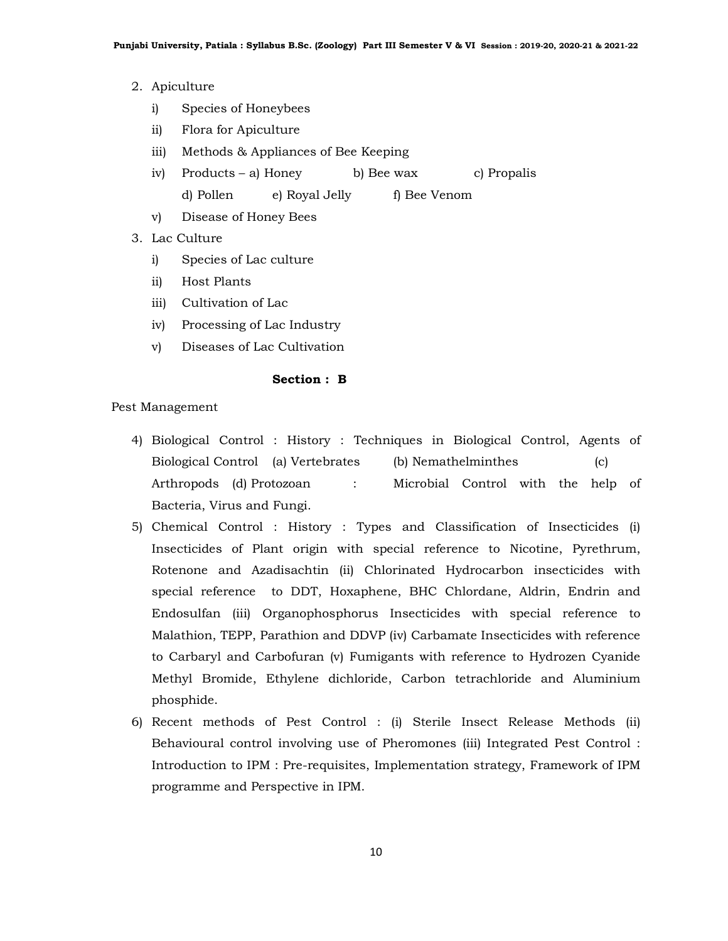- 2. Apiculture
	- i) Species of Honeybees
	- ii) Flora for Apiculture
	- iii) Methods & Appliances of Bee Keeping
	- iv) Products a) Honey b) Bee wax c) Propalis d) Pollen e) Royal Jelly f) Bee Venom
	- v) Disease of Honey Bees
- 3. Lac Culture
	- i) Species of Lac culture
	- ii) Host Plants
	- iii) Cultivation of Lac
	- iv) Processing of Lac Industry
	- v) Diseases of Lac Cultivation

Pest Management

- 4) Biological Control : History : Techniques in Biological Control, Agents of Biological Control (a) Vertebrates (b) Nemathelminthes (c) Arthropods (d) Protozoan : Microbial Control with the help of Bacteria, Virus and Fungi.
- 5) Chemical Control : History : Types and Classification of Insecticides (i) Insecticides of Plant origin with special reference to Nicotine, Pyrethrum, Rotenone and Azadisachtin (ii) Chlorinated Hydrocarbon insecticides with special reference to DDT, Hoxaphene, BHC Chlordane, Aldrin, Endrin and Endosulfan (iii) Organophosphorus Insecticides with special reference to Malathion, TEPP, Parathion and DDVP (iv) Carbamate Insecticides with reference to Carbaryl and Carbofuran (v) Fumigants with reference to Hydrozen Cyanide Methyl Bromide, Ethylene dichloride, Carbon tetrachloride and Aluminium phosphide.
- 6) Recent methods of Pest Control : (i) Sterile Insect Release Methods (ii) Behavioural control involving use of Pheromones (iii) Integrated Pest Control : Introduction to IPM : Pre-requisites, Implementation strategy, Framework of IPM programme and Perspective in IPM.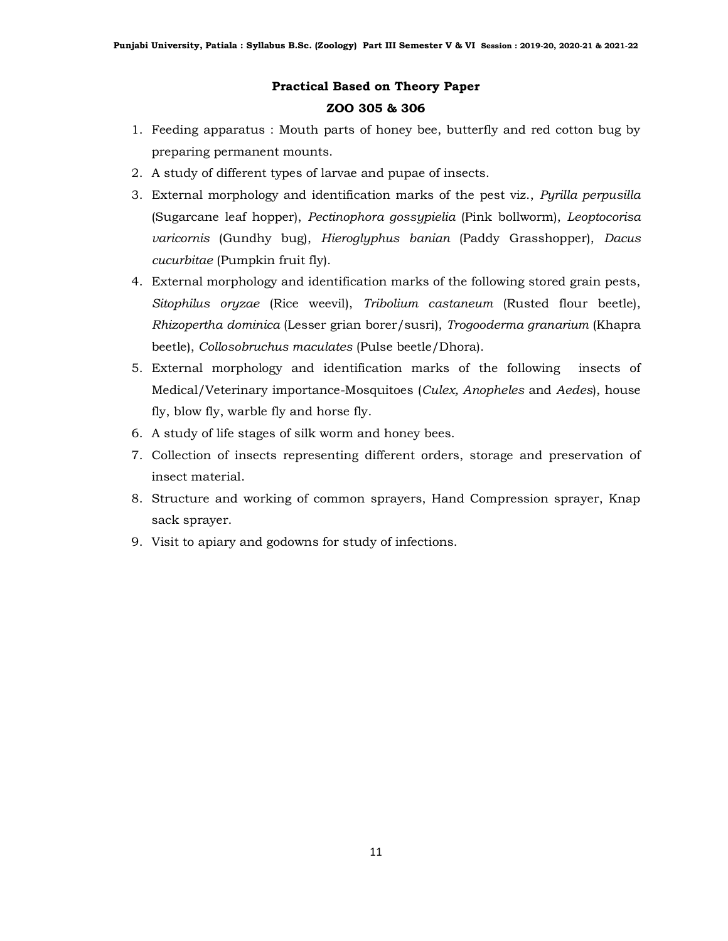## Practical Based on Theory Paper ZOO 305 & 306

- 1. Feeding apparatus : Mouth parts of honey bee, butterfly and red cotton bug by preparing permanent mounts.
- 2. A study of different types of larvae and pupae of insects.
- 3. External morphology and identification marks of the pest viz., Pyrilla perpusilla (Sugarcane leaf hopper), Pectinophora gossypielia (Pink bollworm), Leoptocorisa varicornis (Gundhy bug), Hieroglyphus banian (Paddy Grasshopper), Dacus cucurbitae (Pumpkin fruit fly).
- 4. External morphology and identification marks of the following stored grain pests, Sitophilus oryzae (Rice weevil), Tribolium castaneum (Rusted flour beetle), Rhizopertha dominica (Lesser grian borer/susri), Trogooderma granarium (Khapra beetle), Collosobruchus maculates (Pulse beetle/Dhora).
- 5. External morphology and identification marks of the following insects of Medical/Veterinary importance-Mosquitoes (Culex, Anopheles and Aedes), house fly, blow fly, warble fly and horse fly.
- 6. A study of life stages of silk worm and honey bees.
- 7. Collection of insects representing different orders, storage and preservation of insect material.
- 8. Structure and working of common sprayers, Hand Compression sprayer, Knap sack sprayer.
- 9. Visit to apiary and godowns for study of infections.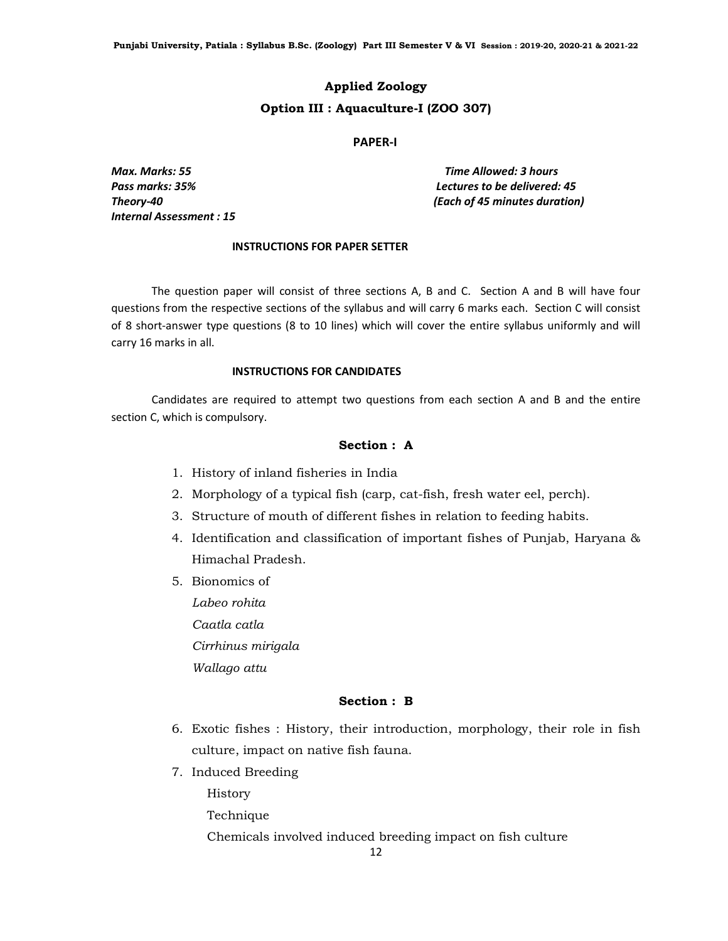# Applied Zoology Option III : Aquaculture-I (ZOO 307)

#### PAPER-I

Internal Assessment : 15

Max. Marks: 55 Time Allowed: 3 hours Pass marks: 35% Lectures to be delivered: 45 Theory-40 (Each of 45 minutes duration)

#### INSTRUCTIONS FOR PAPER SETTER

 The question paper will consist of three sections A, B and C. Section A and B will have four questions from the respective sections of the syllabus and will carry 6 marks each. Section C will consist of 8 short-answer type questions (8 to 10 lines) which will cover the entire syllabus uniformly and will carry 16 marks in all.

#### INSTRUCTIONS FOR CANDIDATES

 Candidates are required to attempt two questions from each section A and B and the entire section C, which is compulsory.

## Section : A

- 1. History of inland fisheries in India
- 2. Morphology of a typical fish (carp, cat-fish, fresh water eel, perch).
- 3. Structure of mouth of different fishes in relation to feeding habits.
- 4. Identification and classification of important fishes of Punjab, Haryana & Himachal Pradesh.
- 5. Bionomics of Labeo rohita Caatla catla Cirrhinus mirigala Wallago attu

## Section : B

- 6. Exotic fishes : History, their introduction, morphology, their role in fish culture, impact on native fish fauna.
- 7. Induced Breeding

History

Technique

Chemicals involved induced breeding impact on fish culture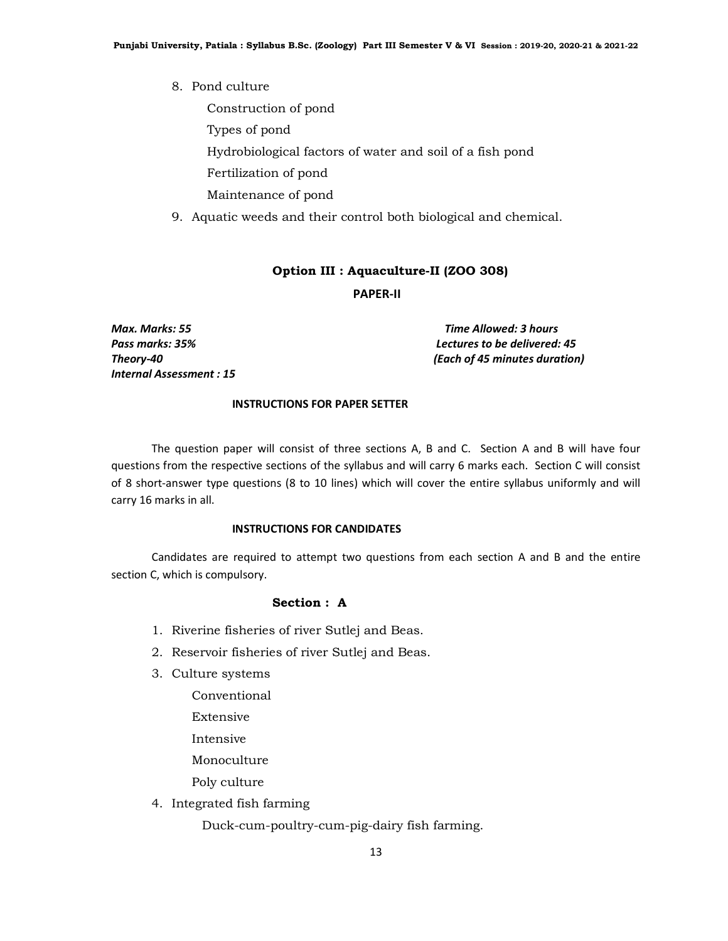8. Pond culture

Construction of pond

Types of pond

Hydrobiological factors of water and soil of a fish pond

Fertilization of pond

Maintenance of pond

9. Aquatic weeds and their control both biological and chemical.

#### Option III : Aquaculture-II (ZOO 308)

PAPER-II

Internal Assessment : 15

Max. Marks: 55 Time Allowed: 3 hours Pass marks: 35% Lectures to be delivered: 45 Theory-40 (Each of 45 minutes duration)

#### INSTRUCTIONS FOR PAPER SETTER

 The question paper will consist of three sections A, B and C. Section A and B will have four questions from the respective sections of the syllabus and will carry 6 marks each. Section C will consist of 8 short-answer type questions (8 to 10 lines) which will cover the entire syllabus uniformly and will carry 16 marks in all.

## INSTRUCTIONS FOR CANDIDATES

 Candidates are required to attempt two questions from each section A and B and the entire section C, which is compulsory.

#### Section : A

- 1. Riverine fisheries of river Sutlej and Beas.
- 2. Reservoir fisheries of river Sutlej and Beas.
- 3. Culture systems
	- Conventional
	- Extensive
	- Intensive
	- Monoculture

Poly culture

4. Integrated fish farming

Duck-cum-poultry-cum-pig-dairy fish farming.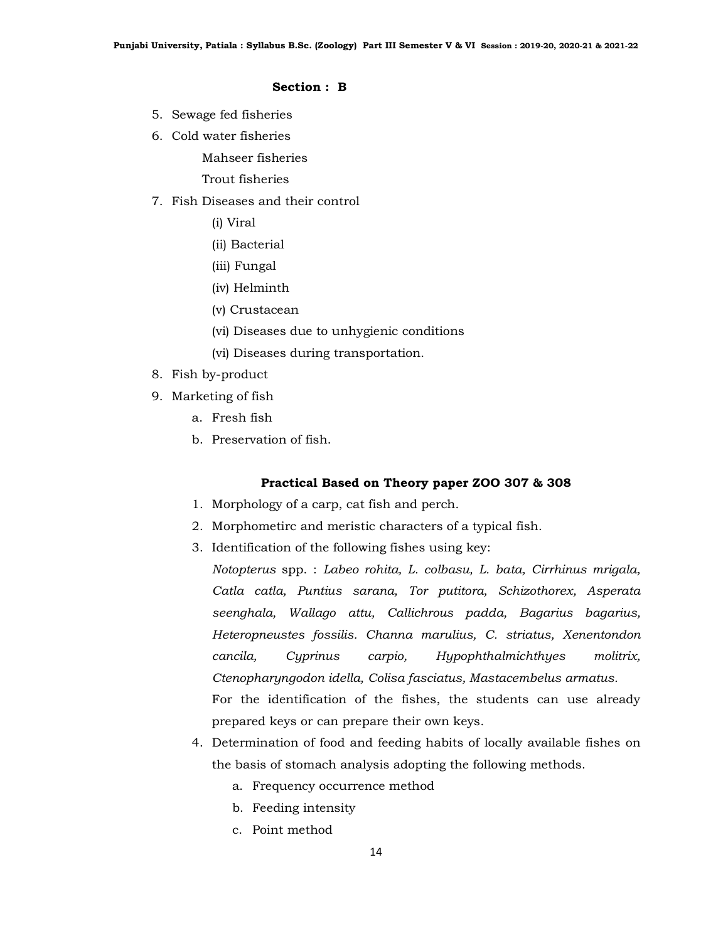- 5. Sewage fed fisheries
- 6. Cold water fisheries

Mahseer fisheries

Trout fisheries

## 7. Fish Diseases and their control

(i) Viral

- (ii) Bacterial
- (iii) Fungal
- (iv) Helminth
- (v) Crustacean
- (vi) Diseases due to unhygienic conditions
- (vi) Diseases during transportation.
- 8. Fish by-product
- 9. Marketing of fish
	- a. Fresh fish
	- b. Preservation of fish.

## Practical Based on Theory paper ZOO 307 & 308

- 1. Morphology of a carp, cat fish and perch.
- 2. Morphometirc and meristic characters of a typical fish.
- 3. Identification of the following fishes using key:

Notopterus spp. : Labeo rohita, L. colbasu, L. bata, Cirrhinus mrigala, Catla catla, Puntius sarana, Tor putitora, Schizothorex, Asperata seenghala, Wallago attu, Callichrous padda, Bagarius bagarius, Heteropneustes fossilis. Channa marulius, C. striatus, Xenentondon cancila, Cyprinus carpio, Hypophthalmichthyes molitrix, Ctenopharyngodon idella, Colisa fasciatus, Mastacembelus armatus. For the identification of the fishes, the students can use already prepared keys or can prepare their own keys.

- 4. Determination of food and feeding habits of locally available fishes on the basis of stomach analysis adopting the following methods.
	- a. Frequency occurrence method
	- b. Feeding intensity
	- c. Point method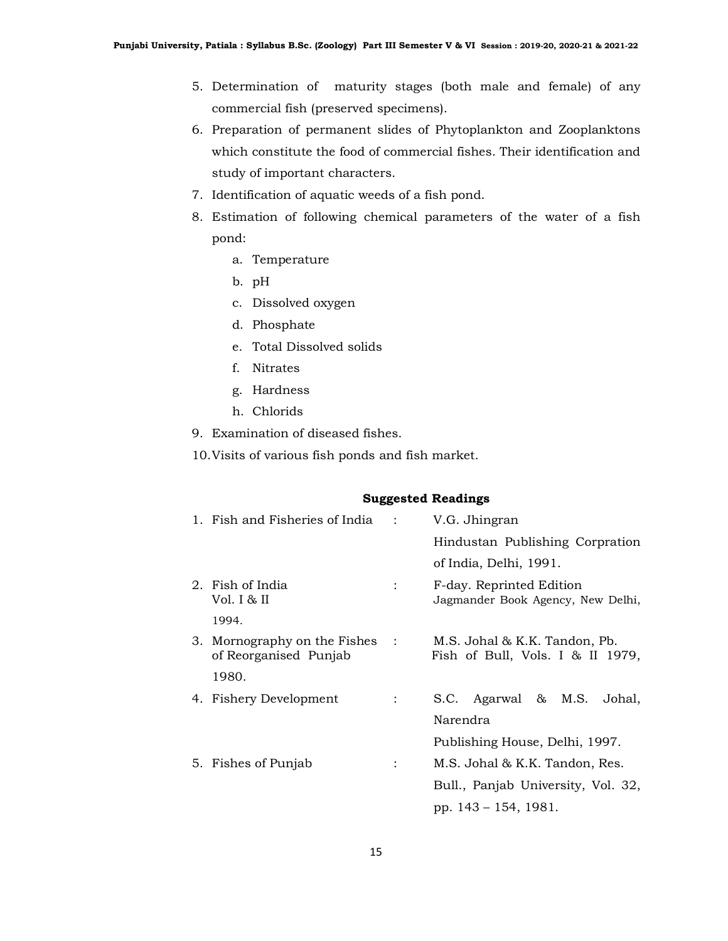- 5. Determination of maturity stages (both male and female) of any commercial fish (preserved specimens).
- 6. Preparation of permanent slides of Phytoplankton and Zooplanktons which constitute the food of commercial fishes. Their identification and study of important characters.
- 7. Identification of aquatic weeds of a fish pond.
- 8. Estimation of following chemical parameters of the water of a fish pond:
	- a. Temperature
	- b. pH
	- c. Dissolved oxygen
	- d. Phosphate
	- e. Total Dissolved solids
	- f. Nitrates
	- g. Hardness
	- h. Chlorids
- 9. Examination of diseased fishes.
- 10.Visits of various fish ponds and fish market.

#### Suggested Readings

| 1. Fish and Fisheries of India :                        | V.G. Jhingran                                                     |
|---------------------------------------------------------|-------------------------------------------------------------------|
|                                                         | Hindustan Publishing Corpration                                   |
|                                                         | of India, Delhi, 1991.                                            |
| 2. Fish of India<br>Vol. I & II                         | F-day. Reprinted Edition<br>Jagmander Book Agency, New Delhi,     |
| 1994.                                                   |                                                                   |
| 3. Mornography on the Fishes :<br>of Reorganised Punjab | M.S. Johal & K.K. Tandon, Pb.<br>Fish of Bull, Vols. I & II 1979, |
| 1980.                                                   |                                                                   |
| 4. Fishery Development                                  | S.C. Agarwal & M.S.<br>Johal,                                     |
|                                                         | Narendra                                                          |
|                                                         | Publishing House, Delhi, 1997.                                    |
| 5. Fishes of Punjab                                     | M.S. Johal & K.K. Tandon, Res.                                    |
|                                                         | Bull., Panjab University, Vol. 32,                                |
|                                                         | pp. 143 – 154, 1981.                                              |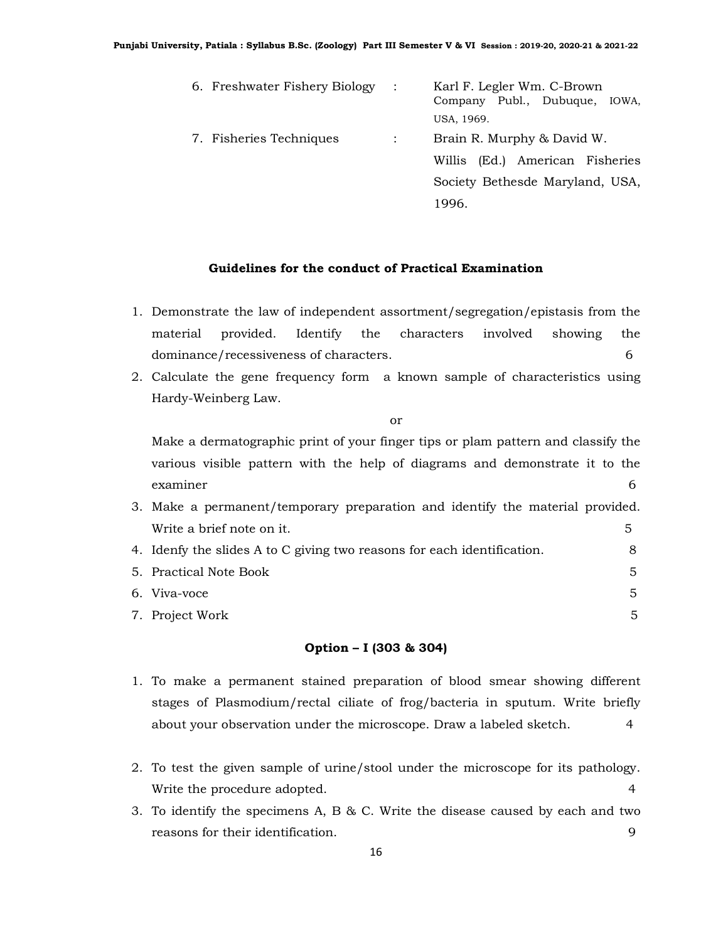| 6. Freshwater Fishery Biology : | Karl F. Legler Wm. C-Brown<br>Company Publ., Dubuque, IOWA, |
|---------------------------------|-------------------------------------------------------------|
|                                 | USA, 1969.                                                  |
| 7. Fisheries Techniques         | Brain R. Murphy & David W.                                  |
|                                 | Willis (Ed.) American Fisheries                             |
|                                 | Society Bethesde Maryland, USA,                             |
|                                 | 1996.                                                       |

## Guidelines for the conduct of Practical Examination

- 1. Demonstrate the law of independent assortment/segregation/epistasis from the material provided. Identify the characters involved showing the dominance/recessiveness of characters. 6
- 2. Calculate the gene frequency form a known sample of characteristics using Hardy-Weinberg Law.

or

Make a dermatographic print of your finger tips or plam pattern and classify the various visible pattern with the help of diagrams and demonstrate it to the examiner 6

| 3. Make a permanent/temporary preparation and identify the material provided. |  |
|-------------------------------------------------------------------------------|--|
| Write a brief note on it.                                                     |  |
| 4. Idenfy the slides A to C giving two reasons for each identification.       |  |

| 5. Practical Note Book |  |
|------------------------|--|
| 6. Viva-voce           |  |
| 7. Project Work        |  |

## Option – I (303 & 304)

- 1. To make a permanent stained preparation of blood smear showing different stages of Plasmodium/rectal ciliate of frog/bacteria in sputum. Write briefly about your observation under the microscope. Draw a labeled sketch. 4
- 2. To test the given sample of urine/stool under the microscope for its pathology. Write the procedure adopted. 4
- 3. To identify the specimens A, B & C. Write the disease caused by each and two reasons for their identification.  $\qquad \qquad \qquad 9$